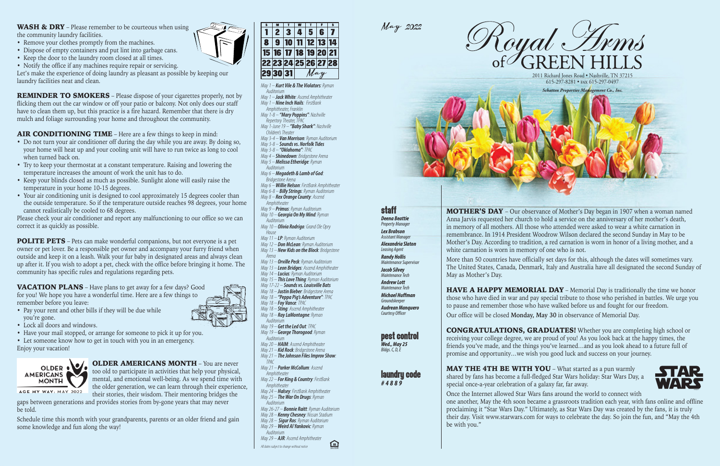|    | $\overline{\mathbf{c}}$ | 3                    |  | 5.               | 6 |  |  |  |
|----|-------------------------|----------------------|--|------------------|---|--|--|--|
| 8  | 9                       | 10                   |  | $\vert$ 11 12 13 |   |  |  |  |
|    |                         | 15 16 17 18 19 20 21 |  |                  |   |  |  |  |
|    |                         | 22 23 24 25 26 27 28 |  |                  |   |  |  |  |
| 29 |                         | 31                   |  |                  |   |  |  |  |





*May 1 – Kurt Vile & The Violators: Ryman Auditorium*

*May 1 – Jack White: Ascend Amphitheater May 1 – Nine Inch Nails: FirstBank Amphitheater, Franklin*

*May 1-8 – "Mary Poppins": Nashville Repertory Theater, TPAC*

- *May 1-June 19 – "Baby Shark": Nashville Children's Theater*
- *May 3-4 – Van Morrison: Ryman Auditorium*
- *May 3-8 – Sounds vs. Norfolk Tides May 3-8 – "Oklahoma": TPAC*
- *May 4 – Shinedown: Bridgestone Arena*

*May 5 – Melissa Etheridge: Ryman Auditorium*

- *May 6 – Megadeth & Lamb of God:*
- *Bridgestone Arena May 6 – Willie Nelson: FirstBank Amphitheater*
- *May 6-8 – Billy Strings: Ryman Auditorium*

*May 8 – Rex Orange County: Ascend Amphitheater*

2011 Richard Jones Road · Nashville, TN 37215 615-297-8281 • fax 615-297-0497



### **staff** *Deena Beattie*

### **Dest control** *Wed., May 25*

### **Laundru code** *#4889*

- *May 9 – Primus: Ryman Auditorium May 10 – Georgia On My Mind: Ryman Auditorium*
- *May 10 – Olivia Rodrigo: Grand Ole Opry House*
- *May 11 – LP: Ryman Auditorium*
- *May 12 – Don McLean: Ryman Auditorium*
- *May 13 – New Kids on the Block: Bridgestone Arena*
- *May 13 – Orville Peck: Ryman Auditorium*
- *May 13 – Leon Bridges: Ascend Amphitheater*
- *May 14 – Lucius: Ryman Auditorium May 15 – This Love Thing: Ryman Auditorium*
- *May 17-22 – Sounds vs. Louisville Bats*
- *May 18 – Justin Bieber: Bridgestone Arena May 18 – "Peppa Pig's Adventure": TPAC*
- *May 18 – Foy Vance: TPAC*
- *May 18 – Sting: Ascend Amphitheater*
- *May 18 – Ray LaMontagne: Ryman Auditorium*
- *May 19 – Get the Led Out: TPAC*
- *May 19 – George Thorogood: Ryman*
- *Auditorium May 20 – HAIM: Ascend Amphitheater*
- *May 21 – Kid Rock: Bridgestone Arena*
- *May 21 – The Johnson Files Improv Show:*
- *TPAC May 21 – Parker McCollum: Ascend Amphitheater*
- *May 22 – For King & Country: FirstBank Amphitheater*
- *May 24 – Halsey: FirstBank Amphitheater May 25 – The War On Drugs: Ryman*
- *Auditorium*
- *May 26-27 – Bonnie Raitt: Ryman Auditorium May 28 – Kenny Chesney: Nissan Stadium*
- *May 28 – Sigur Ros: Ryman Auditorium*
- *May 29 – Weird Al Yankovic: Ryman*
- *Auditorium May 29 – AJR: Ascend Amphitheater*
- *All dates subject to change without notice*

旦

**HAVE A HAPPY MEMORIAL DAY** – Memorial Day is traditionally the time we honor those who have died in war and pay special tribute to those who perished in battles. We urge you to pause and remember those who have walked before us and fought for our freedom. Our office will be closed **Monday, May 30** in observance of Memorial Day.

MAY THE 4TH BE WITH YOU – What started as a pun warmly shared by fans has become a full-fledged Star Wars holiday: Star Wars Day, a special once-a-year celebration of a galaxy far, far away.



*Property Manager Lex Brabson* **Assistant Manager** *Alexandria Slaton Leasing Agent*

*Randy Hollis Maintenance Supervisor Jacob Silvey*

### **WASH & DRY** – Please remember to be courteous when using the community laundry facilities.

### *Maintenance Tech Andrew Lott Maintenance Tech Michael Huffman*

*Groundskeeper Audrean Manquero Courtesy Officer*

*Bldgs. C, D, E* 

MOTHER'S DAY – Our observance of Mother's Day began in 1907 when a woman named Anna Jarvis requested her church to hold a service on the anniversary of her mother's death, in memory of all mothers. All those who attended were asked to wear a white carnation in remembrance. In 1914 President Woodrow Wilson declared the second Sunday in May to be Mother's Day. According to tradition, a red carnation is worn in honor of a living mother, and a white carnation is worn in memory of one who is not.

More than 50 countries have officially set days for this, although the dates will sometimes vary. The United States, Canada, Denmark, Italy and Australia have all designated the second Sunday of May as Mother's Day.

**VACATION PLANS** – Have plans to get away for a few days? Good for you! We hope you have a wonderful time. Here are a few things to remember before you leave:

> **OLDER AMERICANS MONTH** – You are never too old to participate in activities that help your physical, mental, and emotional well-being. As we spend time with the older generation, we can learn through their experience, their stories, their wisdom. Their mentoring bridges the

CONGRATULATIONS, GRADUATES! Whether you are completing high school or receiving your college degree, we are proud of you! As you look back at the happy times, the friends you've made, and the things you've learned…and as you look ahead to a future full of promise and opportunity…we wish you good luck and success on your journey.

Once the Internet allowed Star Wars fans around the world to connect with one another, May the 4th soon became a grassroots tradition each year, with fans online and offline proclaiming it "Star Wars Day." Ultimately, as Star Wars Day was created by the fans, it is truly their day. Visit www.starwars.com for ways to celebrate the day. So join the fun, and "May the 4th be with you."



- Remove your clothes promptly from the machines.
- Dispose of empty containers and put lint into garbage cans.
- Keep the door to the laundry room closed at all times.
- Notify the office if any machines require repair or servicing.

Let's make the experience of doing laundry as pleasant as possible by keeping our laundry facilities neat and clean.

REMINDER TO SMOKERS – Please dispose of your cigarettes properly, not by flicking them out the car window or off your patio or balcony. Not only does our staff have to clean them up, but this practice is a fire hazard. Remember that there is dry mulch and foliage surrounding your home and throughout the community.

AIR CONDITIONING TIME – Here are a few things to keep in mind:

- Do not turn your air conditioner off during the day while you are away. By doing so, your home will heat up and your cooling unit will have to run twice as long to cool when turned back on.
- Try to keep your thermostat at a constant temperature. Raising and lowering the temperature increases the amount of work the unit has to do.
- Keep your blinds closed as much as possible. Sunlight alone will easily raise the temperature in your home 10-15 degrees.
- Your air conditioning unit is designed to cool approximately 15 degrees cooler than the outside temperature. So if the temperature outside reaches 98 degrees, your home cannot realistically be cooled to 68 degrees.

Please check your air conditioner and report any malfunctioning to our office so we can correct it as quickly as possible.

POLITE PETS – Pets can make wonderful companions, but not everyone is a pet owner or pet lover. Be a responsible pet owner and accompany your furry friend when outside and keep it on a leash. Walk your fur baby in designated areas and always clean up after it. If you wish to adopt a pet, check with the office before bringing it home. The community has specific rules and regulations regarding pets.

- Pay your rent and other bills if they will be due while you're gone.
- Lock all doors and windows.
- Have your mail stopped, or arrange for someone to pick it up for you.
- Let someone know how to get in touch with you in an emergency. Enjoy your vacation!



gaps between generations and provides stories from by-gone years that may never be told.

Schedule time this month with your grandparents, parents or an older friend and gain some knowledge and fun along the way!